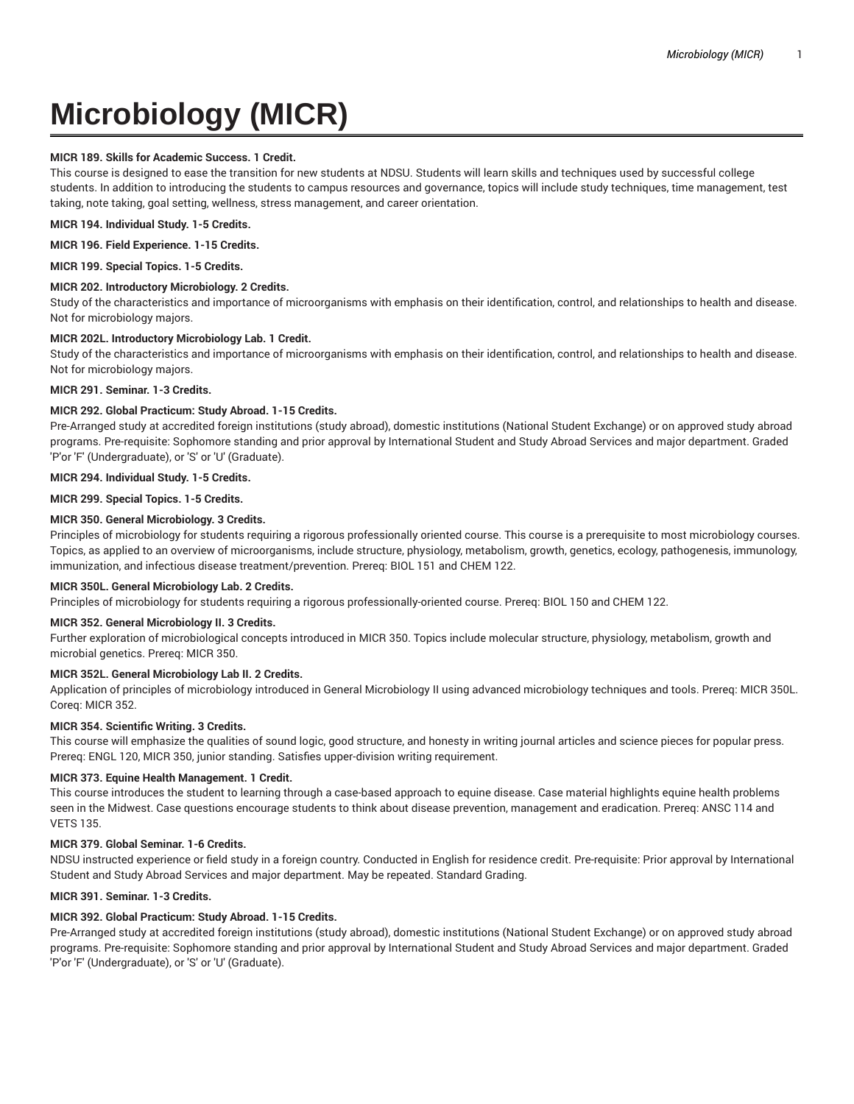# **Microbiology (MICR)**

# **MICR 189. Skills for Academic Success. 1 Credit.**

This course is designed to ease the transition for new students at NDSU. Students will learn skills and techniques used by successful college students. In addition to introducing the students to campus resources and governance, topics will include study techniques, time management, test taking, note taking, goal setting, wellness, stress management, and career orientation.

**MICR 194. Individual Study. 1-5 Credits.**

## **MICR 196. Field Experience. 1-15 Credits.**

**MICR 199. Special Topics. 1-5 Credits.**

# **MICR 202. Introductory Microbiology. 2 Credits.**

Study of the characteristics and importance of microorganisms with emphasis on their identification, control, and relationships to health and disease. Not for microbiology majors.

# **MICR 202L. Introductory Microbiology Lab. 1 Credit.**

Study of the characteristics and importance of microorganisms with emphasis on their identification, control, and relationships to health and disease. Not for microbiology majors.

# **MICR 291. Seminar. 1-3 Credits.**

# **MICR 292. Global Practicum: Study Abroad. 1-15 Credits.**

Pre-Arranged study at accredited foreign institutions (study abroad), domestic institutions (National Student Exchange) or on approved study abroad programs. Pre-requisite: Sophomore standing and prior approval by International Student and Study Abroad Services and major department. Graded 'P'or 'F' (Undergraduate), or 'S' or 'U' (Graduate).

**MICR 294. Individual Study. 1-5 Credits.**

**MICR 299. Special Topics. 1-5 Credits.**

# **MICR 350. General Microbiology. 3 Credits.**

Principles of microbiology for students requiring a rigorous professionally oriented course. This course is a prerequisite to most microbiology courses. Topics, as applied to an overview of microorganisms, include structure, physiology, metabolism, growth, genetics, ecology, pathogenesis, immunology, immunization, and infectious disease treatment/prevention. Prereq: BIOL 151 and CHEM 122.

# **MICR 350L. General Microbiology Lab. 2 Credits.**

Principles of microbiology for students requiring a rigorous professionally-oriented course. Prereq: BIOL 150 and CHEM 122.

# **MICR 352. General Microbiology II. 3 Credits.**

Further exploration of microbiological concepts introduced in MICR 350. Topics include molecular structure, physiology, metabolism, growth and microbial genetics. Prereq: MICR 350.

# **MICR 352L. General Microbiology Lab II. 2 Credits.**

Application of principles of microbiology introduced in General Microbiology II using advanced microbiology techniques and tools. Prereq: MICR 350L. Coreq: MICR 352.

# **MICR 354. Scientific Writing. 3 Credits.**

This course will emphasize the qualities of sound logic, good structure, and honesty in writing journal articles and science pieces for popular press. Prereq: ENGL 120, MICR 350, junior standing. Satisfies upper-division writing requirement.

# **MICR 373. Equine Health Management. 1 Credit.**

This course introduces the student to learning through a case-based approach to equine disease. Case material highlights equine health problems seen in the Midwest. Case questions encourage students to think about disease prevention, management and eradication. Prereq: ANSC 114 and VETS 135.

# **MICR 379. Global Seminar. 1-6 Credits.**

NDSU instructed experience or field study in a foreign country. Conducted in English for residence credit. Pre-requisite: Prior approval by International Student and Study Abroad Services and major department. May be repeated. Standard Grading.

# **MICR 391. Seminar. 1-3 Credits.**

# **MICR 392. Global Practicum: Study Abroad. 1-15 Credits.**

Pre-Arranged study at accredited foreign institutions (study abroad), domestic institutions (National Student Exchange) or on approved study abroad programs. Pre-requisite: Sophomore standing and prior approval by International Student and Study Abroad Services and major department. Graded 'P'or 'F' (Undergraduate), or 'S' or 'U' (Graduate).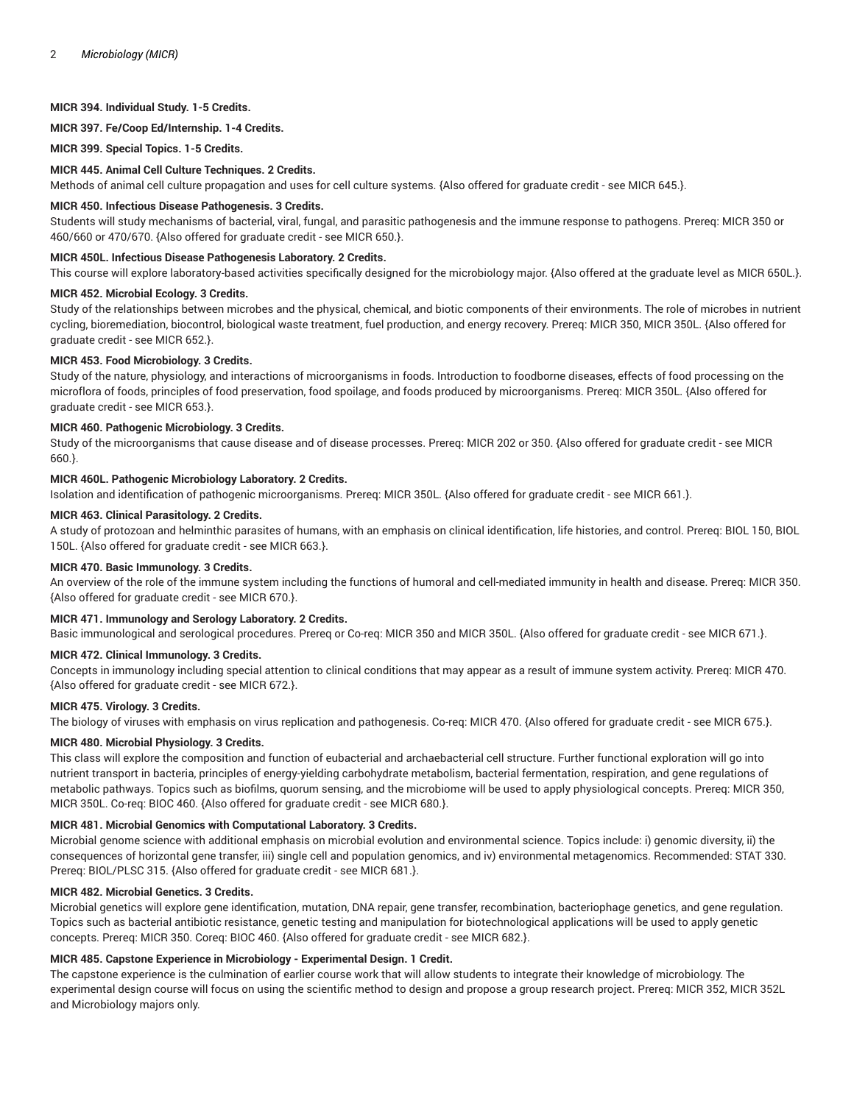# **MICR 394. Individual Study. 1-5 Credits.**

**MICR 397. Fe/Coop Ed/Internship. 1-4 Credits.**

**MICR 399. Special Topics. 1-5 Credits.**

### **MICR 445. Animal Cell Culture Techniques. 2 Credits.**

Methods of animal cell culture propagation and uses for cell culture systems. {Also offered for graduate credit - see MICR 645.}.

#### **MICR 450. Infectious Disease Pathogenesis. 3 Credits.**

Students will study mechanisms of bacterial, viral, fungal, and parasitic pathogenesis and the immune response to pathogens. Prereq: MICR 350 or 460/660 or 470/670. {Also offered for graduate credit - see MICR 650.}.

#### **MICR 450L. Infectious Disease Pathogenesis Laboratory. 2 Credits.**

This course will explore laboratory-based activities specifically designed for the microbiology major. {Also offered at the graduate level as MICR 650L.}.

#### **MICR 452. Microbial Ecology. 3 Credits.**

Study of the relationships between microbes and the physical, chemical, and biotic components of their environments. The role of microbes in nutrient cycling, bioremediation, biocontrol, biological waste treatment, fuel production, and energy recovery. Prereq: MICR 350, MICR 350L. {Also offered for graduate credit - see MICR 652.}.

#### **MICR 453. Food Microbiology. 3 Credits.**

Study of the nature, physiology, and interactions of microorganisms in foods. Introduction to foodborne diseases, effects of food processing on the microflora of foods, principles of food preservation, food spoilage, and foods produced by microorganisms. Prereq: MICR 350L. {Also offered for graduate credit - see MICR 653.}.

# **MICR 460. Pathogenic Microbiology. 3 Credits.**

Study of the microorganisms that cause disease and of disease processes. Prereq: MICR 202 or 350. {Also offered for graduate credit - see MICR 660.}.

# **MICR 460L. Pathogenic Microbiology Laboratory. 2 Credits.**

Isolation and identification of pathogenic microorganisms. Prereq: MICR 350L. {Also offered for graduate credit - see MICR 661.}.

# **MICR 463. Clinical Parasitology. 2 Credits.**

A study of protozoan and helminthic parasites of humans, with an emphasis on clinical identification, life histories, and control. Prereq: BIOL 150, BIOL 150L. {Also offered for graduate credit - see MICR 663.}.

#### **MICR 470. Basic Immunology. 3 Credits.**

An overview of the role of the immune system including the functions of humoral and cell-mediated immunity in health and disease. Prereq: MICR 350. {Also offered for graduate credit - see MICR 670.}.

# **MICR 471. Immunology and Serology Laboratory. 2 Credits.**

Basic immunological and serological procedures. Prereq or Co-req: MICR 350 and MICR 350L. {Also offered for graduate credit - see MICR 671.}.

## **MICR 472. Clinical Immunology. 3 Credits.**

Concepts in immunology including special attention to clinical conditions that may appear as a result of immune system activity. Prereq: MICR 470. {Also offered for graduate credit - see MICR 672.}.

#### **MICR 475. Virology. 3 Credits.**

The biology of viruses with emphasis on virus replication and pathogenesis. Co-req: MICR 470. {Also offered for graduate credit - see MICR 675.}.

# **MICR 480. Microbial Physiology. 3 Credits.**

This class will explore the composition and function of eubacterial and archaebacterial cell structure. Further functional exploration will go into nutrient transport in bacteria, principles of energy-yielding carbohydrate metabolism, bacterial fermentation, respiration, and gene regulations of metabolic pathways. Topics such as biofilms, quorum sensing, and the microbiome will be used to apply physiological concepts. Prereq: MICR 350, MICR 350L. Co-req: BIOC 460. {Also offered for graduate credit - see MICR 680.}.

# **MICR 481. Microbial Genomics with Computational Laboratory. 3 Credits.**

Microbial genome science with additional emphasis on microbial evolution and environmental science. Topics include: i) genomic diversity, ii) the consequences of horizontal gene transfer, iii) single cell and population genomics, and iv) environmental metagenomics. Recommended: STAT 330. Prereq: BIOL/PLSC 315. {Also offered for graduate credit - see MICR 681.}.

#### **MICR 482. Microbial Genetics. 3 Credits.**

Microbial genetics will explore gene identification, mutation, DNA repair, gene transfer, recombination, bacteriophage genetics, and gene regulation. Topics such as bacterial antibiotic resistance, genetic testing and manipulation for biotechnological applications will be used to apply genetic concepts. Prereq: MICR 350. Coreq: BIOC 460. {Also offered for graduate credit - see MICR 682.}.

# **MICR 485. Capstone Experience in Microbiology - Experimental Design. 1 Credit.**

The capstone experience is the culmination of earlier course work that will allow students to integrate their knowledge of microbiology. The experimental design course will focus on using the scientific method to design and propose a group research project. Prereq: MICR 352, MICR 352L and Microbiology majors only.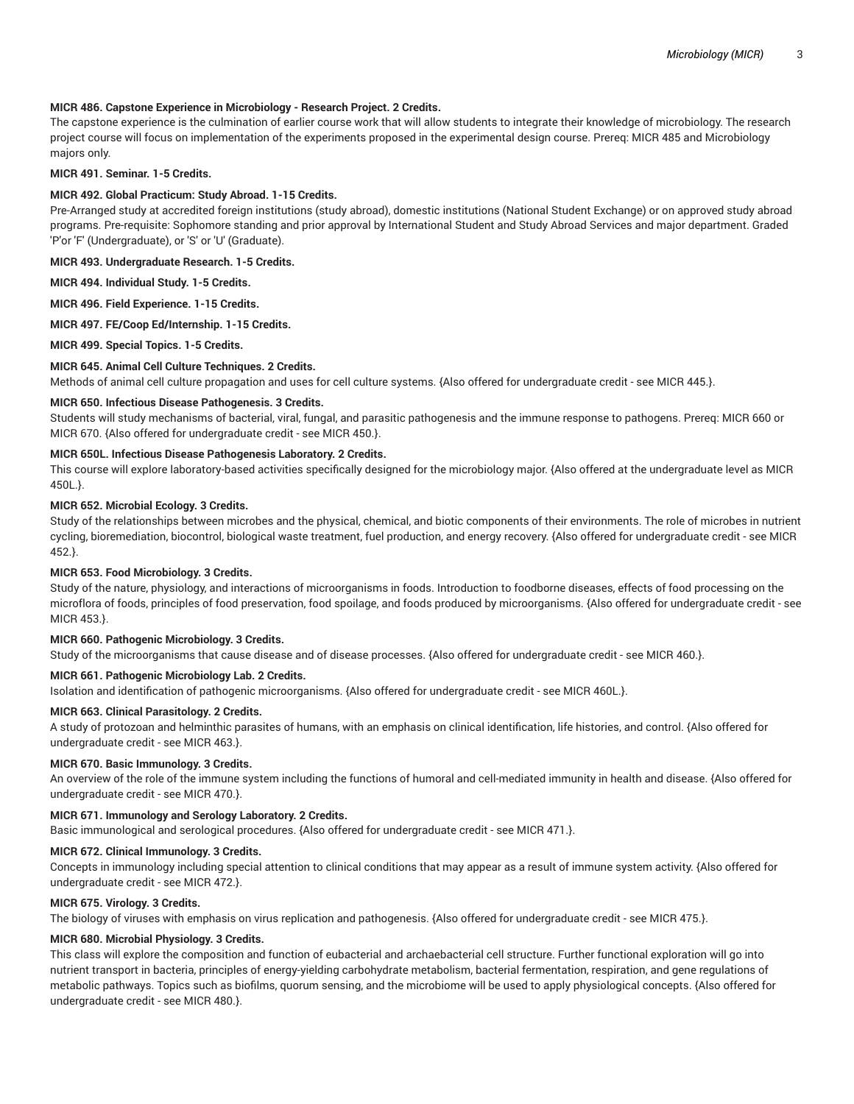# **MICR 486. Capstone Experience in Microbiology - Research Project. 2 Credits.**

The capstone experience is the culmination of earlier course work that will allow students to integrate their knowledge of microbiology. The research project course will focus on implementation of the experiments proposed in the experimental design course. Prereq: MICR 485 and Microbiology majors only.

## **MICR 491. Seminar. 1-5 Credits.**

# **MICR 492. Global Practicum: Study Abroad. 1-15 Credits.**

Pre-Arranged study at accredited foreign institutions (study abroad), domestic institutions (National Student Exchange) or on approved study abroad programs. Pre-requisite: Sophomore standing and prior approval by International Student and Study Abroad Services and major department. Graded 'P'or 'F' (Undergraduate), or 'S' or 'U' (Graduate).

**MICR 493. Undergraduate Research. 1-5 Credits.**

**MICR 494. Individual Study. 1-5 Credits.**

**MICR 496. Field Experience. 1-15 Credits.**

**MICR 497. FE/Coop Ed/Internship. 1-15 Credits.**

**MICR 499. Special Topics. 1-5 Credits.**

#### **MICR 645. Animal Cell Culture Techniques. 2 Credits.**

Methods of animal cell culture propagation and uses for cell culture systems. {Also offered for undergraduate credit - see MICR 445.}.

#### **MICR 650. Infectious Disease Pathogenesis. 3 Credits.**

Students will study mechanisms of bacterial, viral, fungal, and parasitic pathogenesis and the immune response to pathogens. Prereq: MICR 660 or MICR 670. {Also offered for undergraduate credit - see MICR 450.}.

## **MICR 650L. Infectious Disease Pathogenesis Laboratory. 2 Credits.**

This course will explore laboratory-based activities specifically designed for the microbiology major. {Also offered at the undergraduate level as MICR 450L.}.

#### **MICR 652. Microbial Ecology. 3 Credits.**

Study of the relationships between microbes and the physical, chemical, and biotic components of their environments. The role of microbes in nutrient cycling, bioremediation, biocontrol, biological waste treatment, fuel production, and energy recovery. {Also offered for undergraduate credit - see MICR 452.}.

# **MICR 653. Food Microbiology. 3 Credits.**

Study of the nature, physiology, and interactions of microorganisms in foods. Introduction to foodborne diseases, effects of food processing on the microflora of foods, principles of food preservation, food spoilage, and foods produced by microorganisms. {Also offered for undergraduate credit - see MICR 453.}.

# **MICR 660. Pathogenic Microbiology. 3 Credits.**

Study of the microorganisms that cause disease and of disease processes. {Also offered for undergraduate credit - see MICR 460.}.

# **MICR 661. Pathogenic Microbiology Lab. 2 Credits.**

Isolation and identification of pathogenic microorganisms. {Also offered for undergraduate credit - see MICR 460L.}.

#### **MICR 663. Clinical Parasitology. 2 Credits.**

A study of protozoan and helminthic parasites of humans, with an emphasis on clinical identification, life histories, and control. {Also offered for undergraduate credit - see MICR 463.}.

# **MICR 670. Basic Immunology. 3 Credits.**

An overview of the role of the immune system including the functions of humoral and cell-mediated immunity in health and disease. {Also offered for undergraduate credit - see MICR 470.}.

# **MICR 671. Immunology and Serology Laboratory. 2 Credits.**

Basic immunological and serological procedures. {Also offered for undergraduate credit - see MICR 471.}.

#### **MICR 672. Clinical Immunology. 3 Credits.**

Concepts in immunology including special attention to clinical conditions that may appear as a result of immune system activity. {Also offered for undergraduate credit - see MICR 472.}.

#### **MICR 675. Virology. 3 Credits.**

The biology of viruses with emphasis on virus replication and pathogenesis. {Also offered for undergraduate credit - see MICR 475.}.

# **MICR 680. Microbial Physiology. 3 Credits.**

This class will explore the composition and function of eubacterial and archaebacterial cell structure. Further functional exploration will go into nutrient transport in bacteria, principles of energy-yielding carbohydrate metabolism, bacterial fermentation, respiration, and gene regulations of metabolic pathways. Topics such as biofilms, quorum sensing, and the microbiome will be used to apply physiological concepts. {Also offered for undergraduate credit - see MICR 480.}.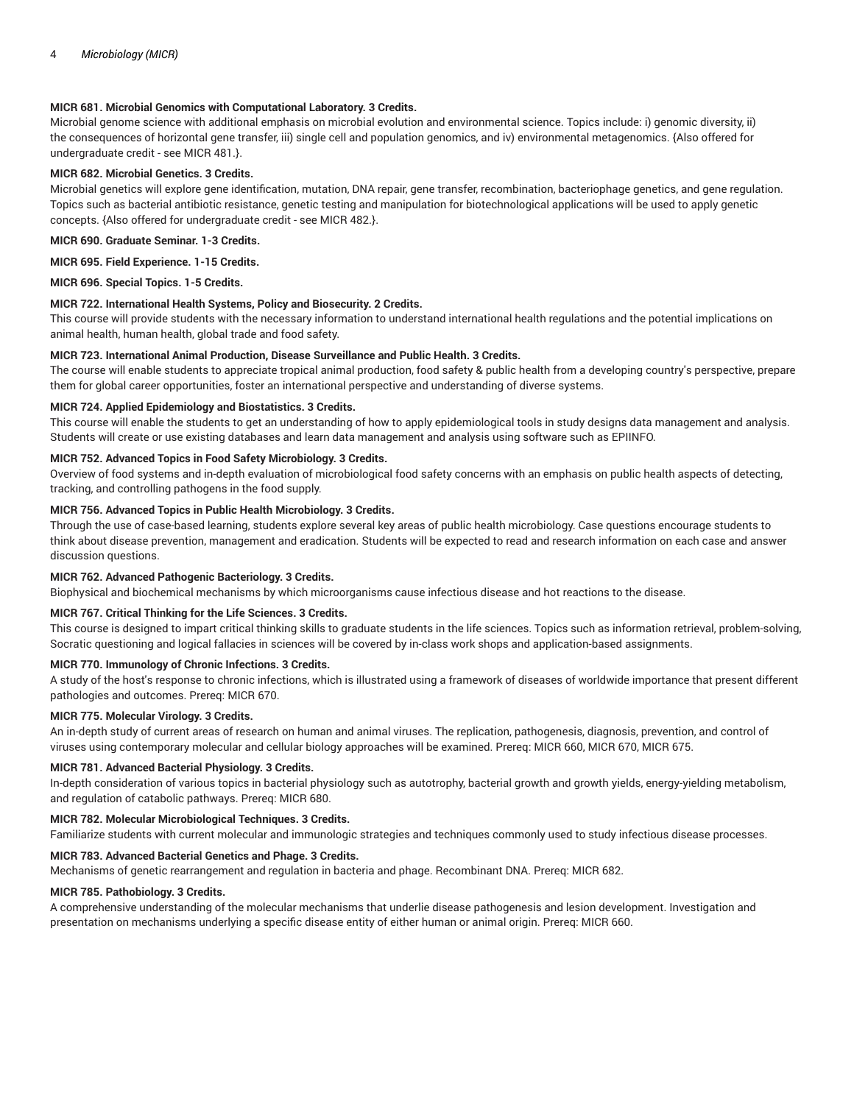# **MICR 681. Microbial Genomics with Computational Laboratory. 3 Credits.**

Microbial genome science with additional emphasis on microbial evolution and environmental science. Topics include: i) genomic diversity, ii) the consequences of horizontal gene transfer, iii) single cell and population genomics, and iv) environmental metagenomics. {Also offered for undergraduate credit - see MICR 481.}.

# **MICR 682. Microbial Genetics. 3 Credits.**

Microbial genetics will explore gene identification, mutation, DNA repair, gene transfer, recombination, bacteriophage genetics, and gene regulation. Topics such as bacterial antibiotic resistance, genetic testing and manipulation for biotechnological applications will be used to apply genetic concepts. {Also offered for undergraduate credit - see MICR 482.}.

# **MICR 690. Graduate Seminar. 1-3 Credits.**

**MICR 695. Field Experience. 1-15 Credits.**

# **MICR 696. Special Topics. 1-5 Credits.**

# **MICR 722. International Health Systems, Policy and Biosecurity. 2 Credits.**

This course will provide students with the necessary information to understand international health regulations and the potential implications on animal health, human health, global trade and food safety.

# **MICR 723. International Animal Production, Disease Surveillance and Public Health. 3 Credits.**

The course will enable students to appreciate tropical animal production, food safety & public health from a developing country's perspective, prepare them for global career opportunities, foster an international perspective and understanding of diverse systems.

# **MICR 724. Applied Epidemiology and Biostatistics. 3 Credits.**

This course will enable the students to get an understanding of how to apply epidemiological tools in study designs data management and analysis. Students will create or use existing databases and learn data management and analysis using software such as EPIINFO.

# **MICR 752. Advanced Topics in Food Safety Microbiology. 3 Credits.**

Overview of food systems and in-depth evaluation of microbiological food safety concerns with an emphasis on public health aspects of detecting, tracking, and controlling pathogens in the food supply.

# **MICR 756. Advanced Topics in Public Health Microbiology. 3 Credits.**

Through the use of case-based learning, students explore several key areas of public health microbiology. Case questions encourage students to think about disease prevention, management and eradication. Students will be expected to read and research information on each case and answer discussion questions.

# **MICR 762. Advanced Pathogenic Bacteriology. 3 Credits.**

Biophysical and biochemical mechanisms by which microorganisms cause infectious disease and hot reactions to the disease.

# **MICR 767. Critical Thinking for the Life Sciences. 3 Credits.**

This course is designed to impart critical thinking skills to graduate students in the life sciences. Topics such as information retrieval, problem-solving, Socratic questioning and logical fallacies in sciences will be covered by in-class work shops and application-based assignments.

# **MICR 770. Immunology of Chronic Infections. 3 Credits.**

A study of the host's response to chronic infections, which is illustrated using a framework of diseases of worldwide importance that present different pathologies and outcomes. Prereq: MICR 670.

# **MICR 775. Molecular Virology. 3 Credits.**

An in-depth study of current areas of research on human and animal viruses. The replication, pathogenesis, diagnosis, prevention, and control of viruses using contemporary molecular and cellular biology approaches will be examined. Prereq: MICR 660, MICR 670, MICR 675.

# **MICR 781. Advanced Bacterial Physiology. 3 Credits.**

In-depth consideration of various topics in bacterial physiology such as autotrophy, bacterial growth and growth yields, energy-yielding metabolism, and regulation of catabolic pathways. Prereq: MICR 680.

# **MICR 782. Molecular Microbiological Techniques. 3 Credits.**

Familiarize students with current molecular and immunologic strategies and techniques commonly used to study infectious disease processes.

# **MICR 783. Advanced Bacterial Genetics and Phage. 3 Credits.**

Mechanisms of genetic rearrangement and regulation in bacteria and phage. Recombinant DNA. Prereq: MICR 682.

# **MICR 785. Pathobiology. 3 Credits.**

A comprehensive understanding of the molecular mechanisms that underlie disease pathogenesis and lesion development. Investigation and presentation on mechanisms underlying a specific disease entity of either human or animal origin. Prereq: MICR 660.